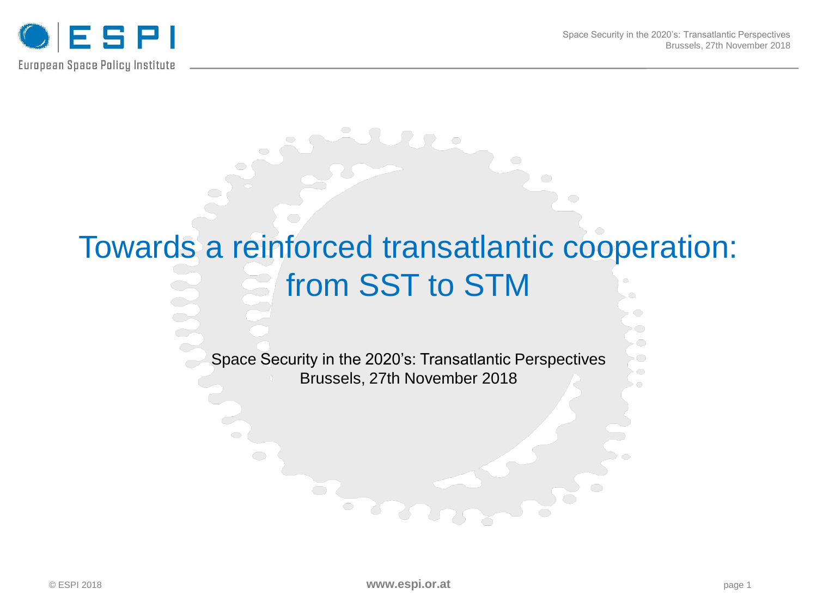

◦◯

# Towards a reinforced transatlantic cooperation: from SST to STM

Space Security in the 2020's: Transatlantic Perspectives Brussels, 27th November 2018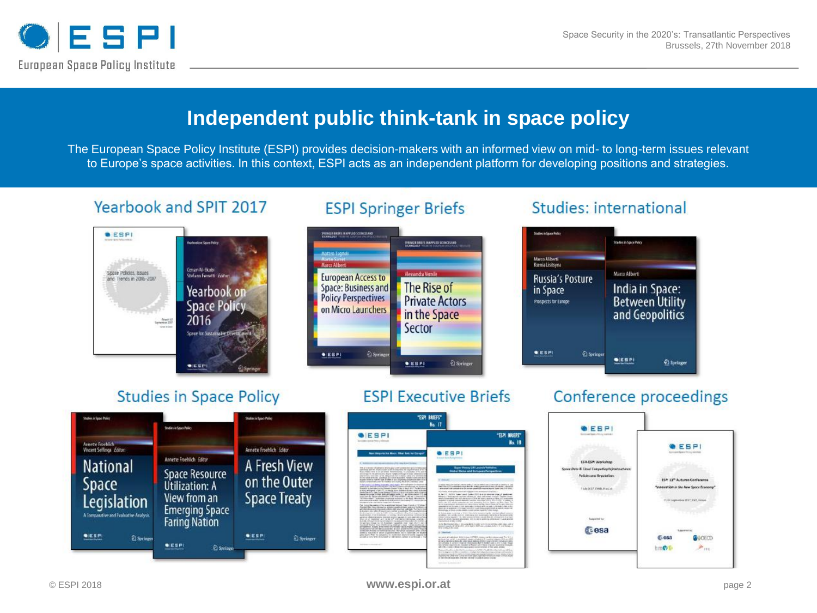

#### **Independent public think-tank in space policy**

The European Space Policy Institute (ESPI) provides decision-makers with an informed view on mid- to long-term issues relevant to Europe's space activities. In this context, ESPI acts as an independent platform for developing positions and strategies.

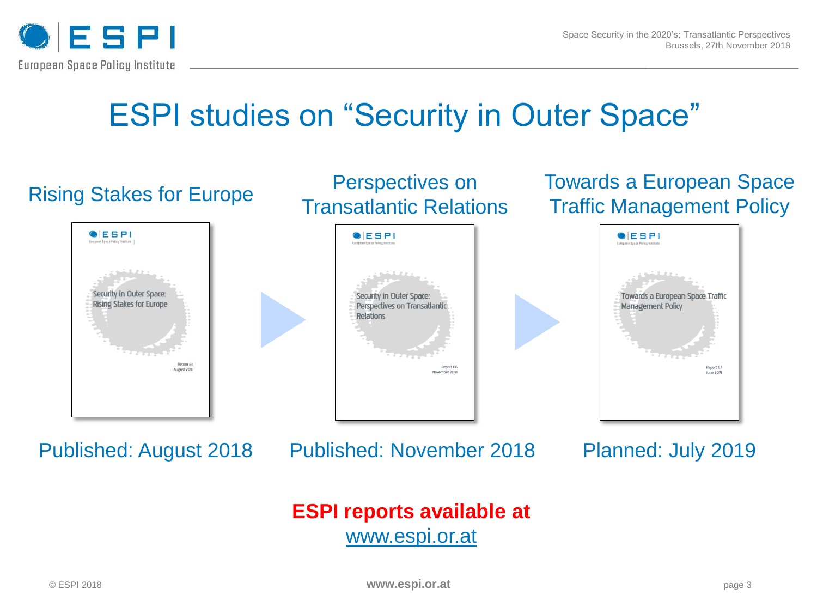

### ESPI studies on "Security in Outer Space"

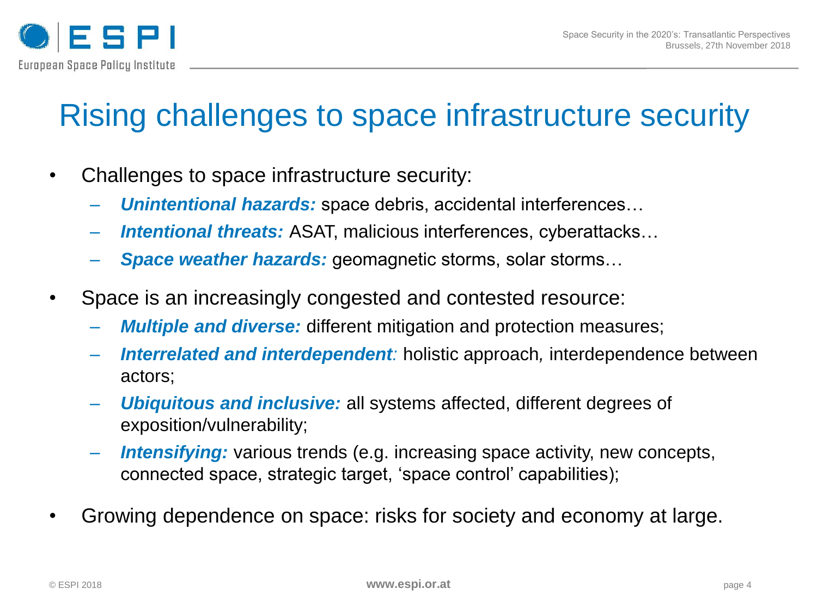

# Rising challenges to space infrastructure security

- Challenges to space infrastructure security:
	- ‒ *Unintentional hazards:* space debris, accidental interferences…
	- ‒ *Intentional threats:* ASAT, malicious interferences, cyberattacks…
	- ‒ *Space weather hazards:* geomagnetic storms, solar storms…
- Space is an increasingly congested and contested resource:
	- *Multiple and diverse:* different mitigation and protection measures;
	- ‒ *Interrelated and interdependent:* holistic approach*,* interdependence between actors;
	- ‒ *Ubiquitous and inclusive:* all systems affected, different degrees of exposition/vulnerability;
	- ‒ *Intensifying:* various trends (e.g. increasing space activity, new concepts, connected space, strategic target, 'space control' capabilities);
- Growing dependence on space: risks for society and economy at large.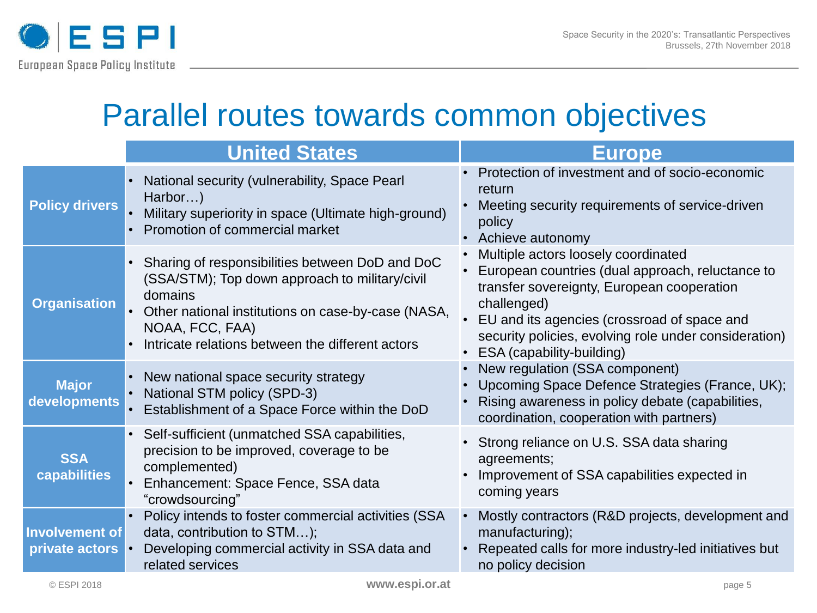

#### Parallel routes towards common objectives

|                                      | <b>United States</b>                                                                                                                                                                                                                      | <b>Europe</b>                                                                                                                                                                                                                                                                               |
|--------------------------------------|-------------------------------------------------------------------------------------------------------------------------------------------------------------------------------------------------------------------------------------------|---------------------------------------------------------------------------------------------------------------------------------------------------------------------------------------------------------------------------------------------------------------------------------------------|
| <b>Policy drivers</b>                | National security (vulnerability, Space Pearl<br>Harbor)<br>Military superiority in space (Ultimate high-ground)<br>Promotion of commercial market                                                                                        | • Protection of investment and of socio-economic<br>return<br>Meeting security requirements of service-driven<br>policy<br>• Achieve autonomy                                                                                                                                               |
| <b>Organisation</b>                  | Sharing of responsibilities between DoD and DoC<br>(SSA/STM); Top down approach to military/civil<br>domains<br>Other national institutions on case-by-case (NASA,<br>NOAA, FCC, FAA)<br>Intricate relations between the different actors | Multiple actors loosely coordinated<br>European countries (dual approach, reluctance to<br>transfer sovereignty, European cooperation<br>challenged)<br>EU and its agencies (crossroad of space and<br>security policies, evolving role under consideration)<br>• ESA (capability-building) |
| <b>Major</b><br>developments         | New national space security strategy<br>National STM policy (SPD-3)<br>Establishment of a Space Force within the DoD                                                                                                                      | New regulation (SSA component)<br>Upcoming Space Defence Strategies (France, UK);<br>Rising awareness in policy debate (capabilities,<br>coordination, cooperation with partners)                                                                                                           |
| <b>SSA</b><br>capabilities           | Self-sufficient (unmatched SSA capabilities,<br>precision to be improved, coverage to be<br>complemented)<br>Enhancement: Space Fence, SSA data<br>"crowdsourcing"                                                                        | Strong reliance on U.S. SSA data sharing<br>agreements;<br>Improvement of SSA capabilities expected in<br>coming years                                                                                                                                                                      |
| Involvement of<br>private actors   • | Policy intends to foster commercial activities (SSA<br>data, contribution to STM);<br>Developing commercial activity in SSA data and<br>related services                                                                                  | Mostly contractors (R&D projects, development and<br>manufacturing);<br>Repeated calls for more industry-led initiatives but<br>no policy decision                                                                                                                                          |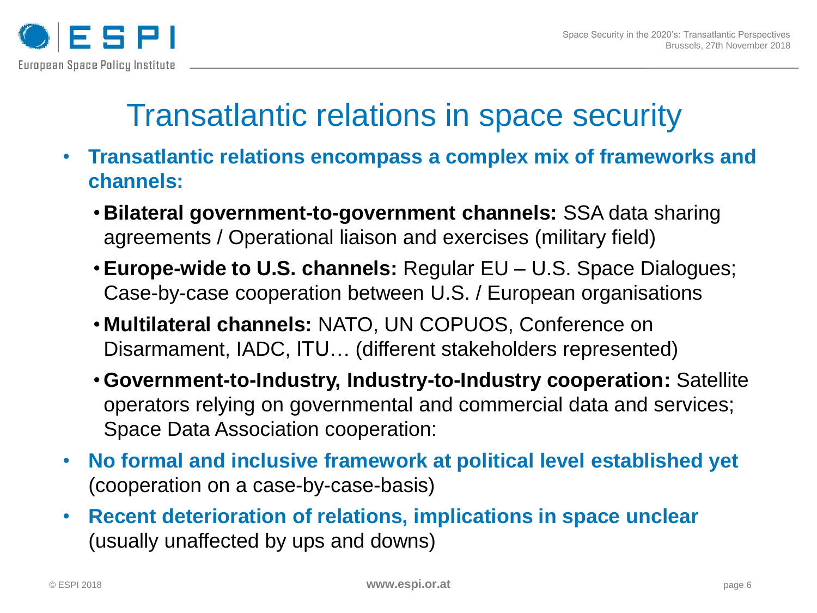

### Transatlantic relations in space security

- **Transatlantic relations encompass a complex mix of frameworks and channels:**
	- **Bilateral government-to-government channels:** SSA data sharing agreements / Operational liaison and exercises (military field)
	- •**Europe-wide to U.S. channels:** Regular EU U.S. Space Dialogues; Case-by-case cooperation between U.S. / European organisations
	- **Multilateral channels:** NATO, UN COPUOS, Conference on Disarmament, IADC, ITU… (different stakeholders represented)
	- •**Government-to-Industry, Industry-to-Industry cooperation:** Satellite operators relying on governmental and commercial data and services; Space Data Association cooperation:
- **No formal and inclusive framework at political level established yet**  (cooperation on a case-by-case-basis)
- **Recent deterioration of relations, implications in space unclear**  (usually unaffected by ups and downs)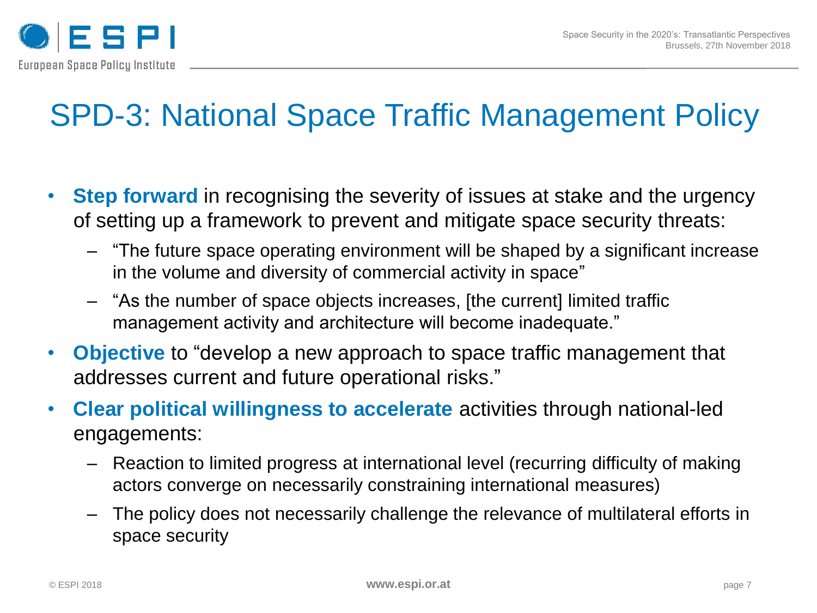

# SPD-3: National Space Traffic Management Policy

- **Step forward** in recognising the severity of issues at stake and the urgency of setting up a framework to prevent and mitigate space security threats:
	- ‒ "The future space operating environment will be shaped by a significant increase in the volume and diversity of commercial activity in space"
	- ‒ "As the number of space objects increases, [the current] limited traffic management activity and architecture will become inadequate."
- **Objective** to "develop a new approach to space traffic management that addresses current and future operational risks."
- **Clear political willingness to accelerate** activities through national-led engagements:
	- ‒ Reaction to limited progress at international level (recurring difficulty of making actors converge on necessarily constraining international measures)
	- ‒ The policy does not necessarily challenge the relevance of multilateral efforts in space security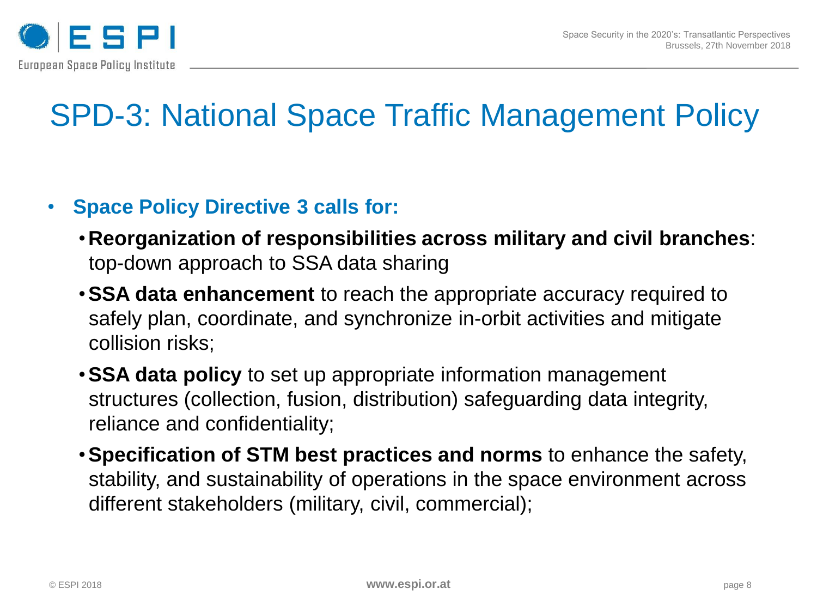

# SPD-3: National Space Traffic Management Policy

#### • **Space Policy Directive 3 calls for:**

- **Reorganization of responsibilities across military and civil branches**: top-down approach to SSA data sharing
- •**SSA data enhancement** to reach the appropriate accuracy required to safely plan, coordinate, and synchronize in-orbit activities and mitigate collision risks;
- •**SSA data policy** to set up appropriate information management structures (collection, fusion, distribution) safeguarding data integrity, reliance and confidentiality;
- •**Specification of STM best practices and norms** to enhance the safety, stability, and sustainability of operations in the space environment across different stakeholders (military, civil, commercial);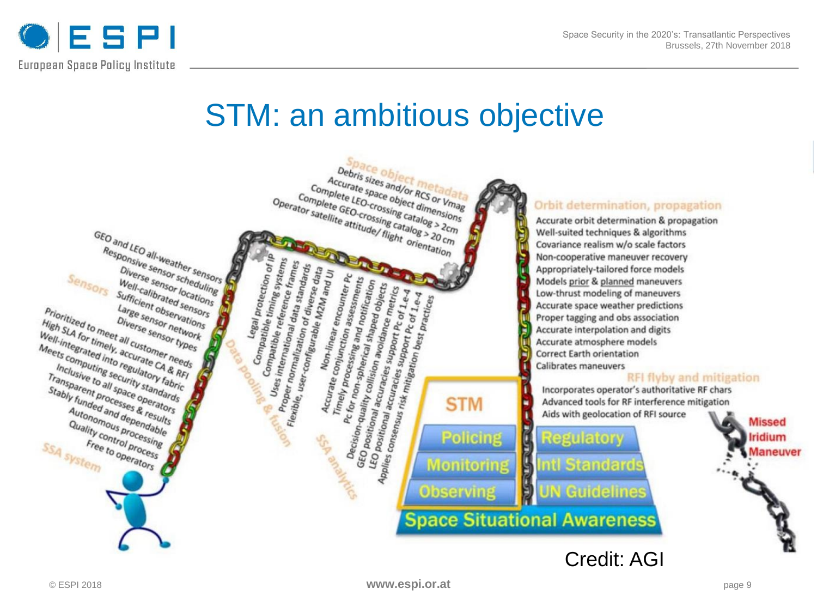

#### STM: an ambitious objective

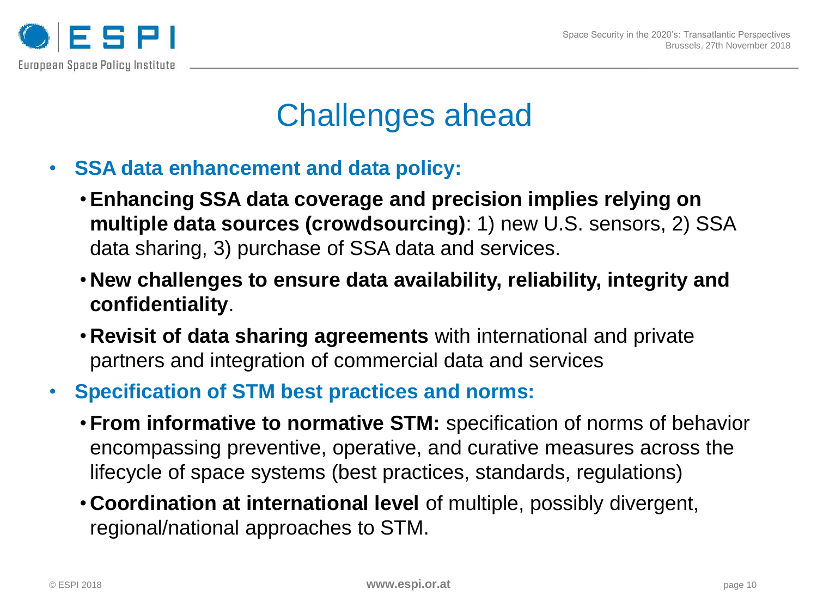

### Challenges ahead

- **SSA data enhancement and data policy:**
	- •**Enhancing SSA data coverage and precision implies relying on multiple data sources (crowdsourcing)**: 1) new U.S. sensors, 2) SSA data sharing, 3) purchase of SSA data and services.
	- **New challenges to ensure data availability, reliability, integrity and confidentiality**.
	- **Revisit of data sharing agreements** with international and private partners and integration of commercial data and services
- **Specification of STM best practices and norms:**
	- •**From informative to normative STM:** specification of norms of behavior encompassing preventive, operative, and curative measures across the lifecycle of space systems (best practices, standards, regulations)
	- **Coordination at international level** of multiple, possibly divergent, regional/national approaches to STM.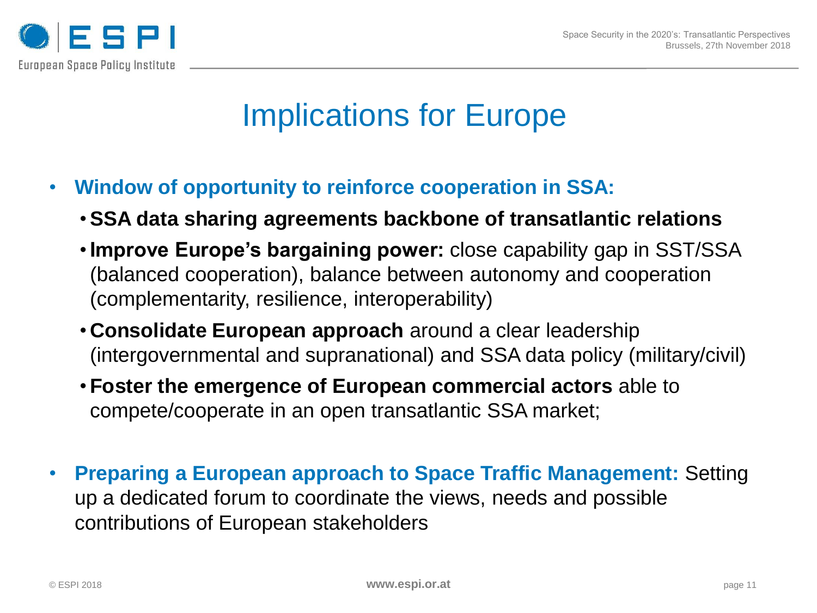

## Implications for Europe

- **Window of opportunity to reinforce cooperation in SSA:**
	- •**SSA data sharing agreements backbone of transatlantic relations**
	- •**Improve Europe's bargaining power:** close capability gap in SST/SSA (balanced cooperation), balance between autonomy and cooperation (complementarity, resilience, interoperability)
	- **Consolidate European approach** around a clear leadership (intergovernmental and supranational) and SSA data policy (military/civil)
	- •**Foster the emergence of European commercial actors** able to compete/cooperate in an open transatlantic SSA market;
- **Preparing a European approach to Space Traffic Management:** Setting up a dedicated forum to coordinate the views, needs and possible contributions of European stakeholders